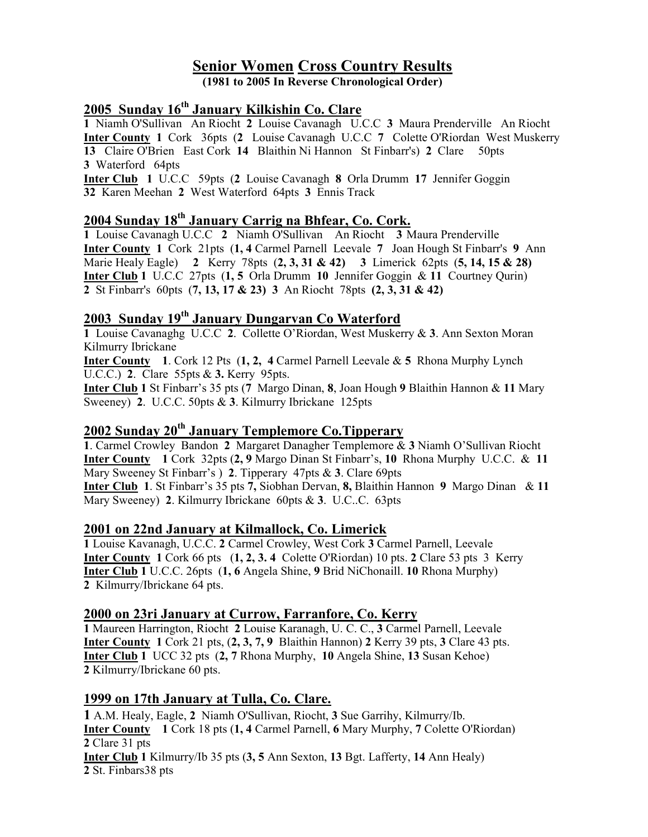# Senior Women Cross Country Results

(1981 to 2005 In Reverse Chronological Order)

## 2005 Sunday 16<sup>th</sup> January Kilkishin Co. Clare

1 Niamh O'Sullivan An Riocht 2 Louise Cavanagh U.C.C 3 Maura Prenderville An Riocht Inter County 1 Cork 36pts (2 Louise Cavanagh U.C.C 7 Colette O'Riordan West Muskerry 13 Claire O'Brien East Cork 14 Blaithin Ni Hannon St Finbarr's) 2 Clare 50pts 3 Waterford 64pts

Inter Club 1 U.C.C 59pts (2 Louise Cavanagh 8 Orla Drumm 17 Jennifer Goggin 32 Karen Meehan 2 West Waterford 64pts 3 Ennis Track

## 2004 Sunday 18<sup>th</sup> January Carrig na Bhfear, Co. Cork.

1 Louise Cavanagh U.C.C 2 Niamh O'Sullivan An Riocht 3 Maura Prenderville Inter County 1 Cork 21pts (1, 4 Carmel Parnell Leevale 7 Joan Hough St Finbarr's 9 Ann Marie Healy Eagle) 2 Kerry 78pts (2, 3, 31 & 42) 3 Limerick 62pts (5, 14, 15 & 28) Inter Club 1 U.C.C 27pts (1, 5 Orla Drumm 10 Jennifer Goggin & 11 Courtney Qurin) 2 St Finbarr's 60pts (7, 13, 17 & 23) 3 An Riocht 78pts (2, 3, 31 & 42)

## 2003 Sunday 19th January Dungarvan Co Waterford

1 Louise Cavanaghg U.C.C 2. Collette O'Riordan, West Muskerry & 3. Ann Sexton Moran Kilmurry Ibrickane

Inter County 1. Cork 12 Pts (1, 2, 4 Carmel Parnell Leevale & 5 Rhona Murphy Lynch U.C.C.) 2. Clare 55pts & 3. Kerry 95pts.

Inter Club 1 St Finbarr's 35 pts (7 Margo Dinan, 8, Joan Hough 9 Blaithin Hannon & 11 Mary Sweeney) 2. U.C.C. 50pts & 3. Kilmurry Ibrickane 125pts

## 2002 Sunday 20<sup>th</sup> January Templemore Co. Tipperary

1. Carmel Crowley Bandon 2 Margaret Danagher Templemore & 3 Niamh O'Sullivan Riocht Inter County 1 Cork 32pts (2, 9 Margo Dinan St Finbarr's, 10 Rhona Murphy U.C.C. & 11 Mary Sweeney St Finbarr's ) 2. Tipperary 47pts & 3. Clare 69pts Inter Club 1. St Finbarr's 35 pts 7, Siobhan Dervan, 8, Blaithin Hannon 9 Margo Dinan & 11 Mary Sweeney) 2. Kilmurry Ibrickane 60pts & 3. U.C..C. 63pts

#### 2001 on 22nd January at Kilmallock, Co. Limerick

1 Louise Kavanagh, U.C.C. 2 Carmel Crowley, West Cork 3 Carmel Parnell, Leevale Inter County 1 Cork 66 pts (1, 2, 3. 4 Colette O'Riordan) 10 pts. 2 Clare 53 pts 3 Kerry Inter Club 1 U.C.C. 26pts (1, 6 Angela Shine, 9 Brid NiChonaill. 10 Rhona Murphy) 2 Kilmurry/Ibrickane 64 pts.

#### 2000 on 23ri January at Currow, Farranfore, Co. Kerry

1 Maureen Harrington, Riocht 2 Louise Karanagh, U. C. C., 3 Carmel Parnell, Leevale Inter County  $1$  Cork  $21$  pts,  $(2, 3, 7, 9$  Blaithin Hannon)  $2$  Kerry 39 pts,  $3$  Clare 43 pts. Inter Club 1 UCC 32 pts (2, 7 Rhona Murphy, 10 Angela Shine, 13 Susan Kehoe) 2 Kilmurry/Ibrickane 60 pts.

#### 1999 on 17th January at Tulla, Co. Clare.

1 A.M. Healy, Eagle, 2 Niamh O'Sullivan, Riocht, 3 Sue Garrihy, Kilmurry/Ib. Inter County 1 Cork 18 pts (1, 4 Carmel Parnell, 6 Mary Murphy, 7 Colette O'Riordan) 2 Clare 31 pts Inter Club 1 Kilmurry/Ib 35 pts (3, 5 Ann Sexton, 13 Bgt. Lafferty, 14 Ann Healy) 2 St. Finbars38 pts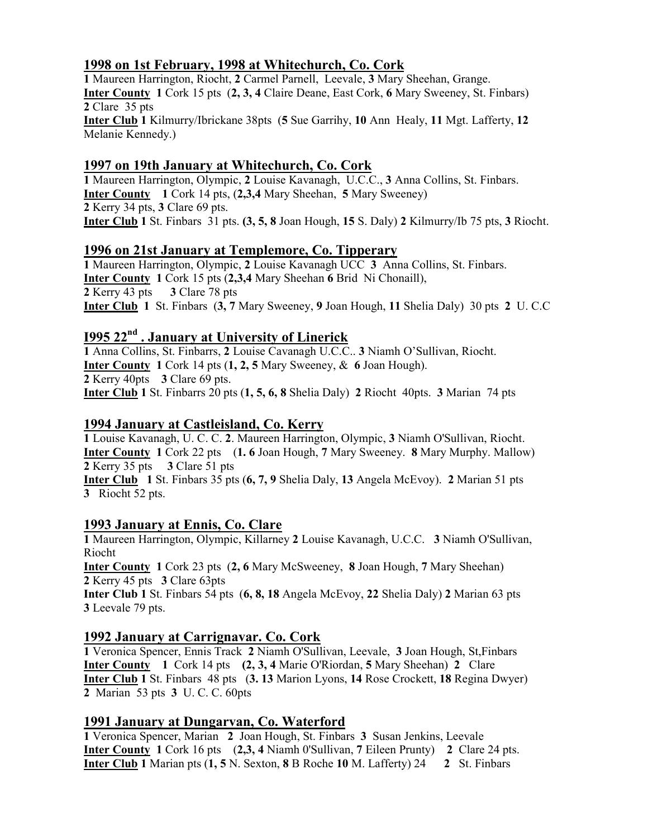## 1998 on 1st February, 1998 at Whitechurch, Co. Cork

1 Maureen Harrington, Riocht, 2 Carmel Parnell, Leevale, 3 Mary Sheehan, Grange. Inter County 1 Cork 15 pts (2, 3, 4 Claire Deane, East Cork, 6 Mary Sweeney, St. Finbars) 2 Clare 35 pts Inter Club 1 Kilmurry/Ibrickane 38pts (5 Sue Garrihy, 10 Ann Healy, 11 Mgt. Lafferty, 12 Melanie Kennedy.)

### 1997 on 19th January at Whitechurch, Co. Cork

1 Maureen Harrington, Olympic, 2 Louise Kavanagh, U.C.C., 3 Anna Collins, St. Finbars. Inter County 1 Cork 14 pts, (2,3,4 Mary Sheehan, 5 Mary Sweeney) 2 Kerry 34 pts, 3 Clare 69 pts. Inter Club 1 St. Finbars 31 pts. (3, 5, 8 Joan Hough, 15 S. Daly) 2 Kilmurry/Ib 75 pts, 3 Riocht.

#### 1996 on 21st January at Templemore, Co. Tipperary

1 Maureen Harrington, Olympic, 2 Louise Kavanagh UCC 3 Anna Collins, St. Finbars. Inter County 1 Cork 15 pts (2,3,4 Mary Sheehan 6 Brid Ni Chonaill), 2 Kerry 43 pts 3 Clare 78 pts Inter Club 1 St. Finbars (3, 7 Mary Sweeney, 9 Joan Hough, 11 Shelia Daly) 30 pts 2 U. C.C

#### I995 22nd . January at University of Linerick

1 Anna Collins, St. Finbarrs, 2 Louise Cavanagh U.C.C.. 3 Niamh O'Sullivan, Riocht. Inter County 1 Cork 14 pts (1, 2, 5 Mary Sweeney, & 6 Joan Hough). 2 Kerry 40pts 3 Clare 69 pts. Inter Club 1 St. Finbarrs 20 pts (1, 5, 6, 8 Shelia Daly) 2 Riocht 40pts. 3 Marian 74 pts

#### 1994 January at Castleisland, Co. Kerry

1 Louise Kavanagh, U. C. C. 2. Maureen Harrington, Olympic, 3 Niamh O'Sullivan, Riocht. Inter County 1 Cork 22 pts (1. 6 Joan Hough, 7 Mary Sweeney. 8 Mary Murphy. Mallow) 2 Kerry 35 pts 3 Clare 51 pts

Inter Club 1 St. Finbars 35 pts (6, 7, 9 Shelia Daly, 13 Angela McEvoy). 2 Marian 51 pts 3 Riocht 52 pts.

#### 1993 January at Ennis, Co. Clare

1 Maureen Harrington, Olympic, Killarney 2 Louise Kavanagh, U.C.C. 3 Niamh O'Sullivan, Riocht

Inter County 1 Cork 23 pts (2, 6 Mary McSweeney, 8 Joan Hough, 7 Mary Sheehan) 2 Kerry 45 pts 3 Clare 63pts

Inter Club 1 St. Finbars 54 pts (6, 8, 18 Angela McEvoy, 22 Shelia Daly) 2 Marian 63 pts 3 Leevale 79 pts.

## 1992 January at Carrignavar. Co. Cork

1 Veronica Spencer, Ennis Track 2 Niamh O'Sullivan, Leevale, 3 Joan Hough, St,Finbars Inter County 1 Cork 14 pts (2, 3, 4 Marie O'Riordan, 5 Mary Sheehan) 2 Clare Inter Club 1 St. Finbars 48 pts (3. 13 Marion Lyons, 14 Rose Crockett, 18 Regina Dwyer) 2 Marian 53 pts 3 U. C. C. 60pts

#### 1991 January at Dungarvan, Co. Waterford

1 Veronica Spencer, Marian 2 Joan Hough, St. Finbars 3 Susan Jenkins, Leevale Inter County 1 Cork 16 pts (2,3, 4 Niamh 0'Sullivan, 7 Eileen Prunty) 2 Clare 24 pts. Inter Club 1 Marian pts (1, 5 N. Sexton, 8 B Roche 10 M. Lafferty) 24 2 St. Finbars